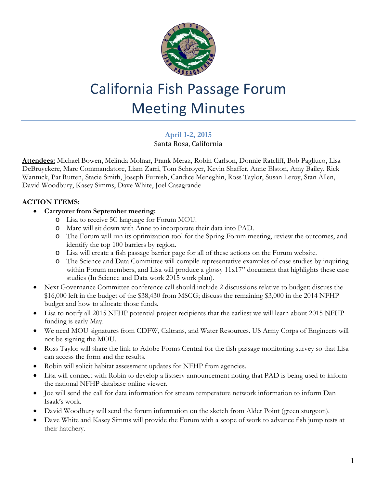

# California Fish Passage Forum Meeting Minutes

## **April 1-2, 2015**

Santa Rosa, California

**Attendees:** Michael Bowen, Melinda Molnar, Frank Meraz, Robin Carlson, Donnie Ratcliff, Bob Pagliuco, Lisa DeBruyckere, Marc Commandatore, Liam Zarri, Tom Schroyer, Kevin Shaffer, Anne Elston, Amy Bailey, Rick Wantuck, Pat Rutten, Stacie Smith, Joseph Furnish, Candice Meneghin, Ross Taylor, Susan Leroy, Stan Allen, David Woodbury, Kasey Simms, Dave White, Joel Casagrande

### **ACTION ITEMS:**

- **Carryover from September meeting:** 
	- o Lisa to receive 5C language for Forum MOU.
	- o Marc will sit down with Anne to incorporate their data into PAD.
	- o The Forum will run its optimization tool for the Spring Forum meeting, review the outcomes, and identify the top 100 barriers by region.
	- o Lisa will create a fish passage barrier page for all of these actions on the Forum website.
	- o The Science and Data Committee will compile representative examples of case studies by inquiring within Forum members, and Lisa will produce a glossy 11x17" document that highlights these case studies (In Science and Data work 2015 work plan).
- Next Governance Committee conference call should include 2 discussions relative to budget: discuss the \$16,000 left in the budget of the \$38,430 from MSCG; discuss the remaining \$3,000 in the 2014 NFHP budget and how to allocate those funds.
- Lisa to notify all 2015 NFHP potential project recipients that the earliest we will learn about 2015 NFHP funding is early May.
- We need MOU signatures from CDFW, Caltrans, and Water Resources. US Army Corps of Engineers will not be signing the MOU.
- Ross Taylor will share the link to Adobe Forms Central for the fish passage monitoring survey so that Lisa can access the form and the results.
- Robin will solicit habitat assessment updates for NFHP from agencies.
- Lisa will connect with Robin to develop a listserv announcement noting that PAD is being used to inform the national NFHP database online viewer.
- Joe will send the call for data information for stream temperature network information to inform Dan Isaak's work.
- David Woodbury will send the forum information on the sketch from Alder Point (green sturgeon).
- Dave White and Kasey Simms will provide the Forum with a scope of work to advance fish jump tests at their hatchery.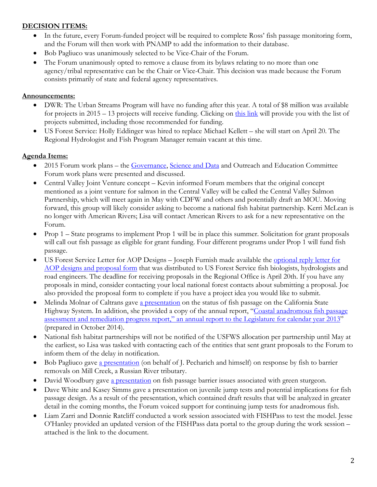#### **DECISION ITEMS:**

- In the future, every Forum-funded project will be required to complete Ross' fish passage monitoring form, and the Forum will then work with PNAMP to add the information to their database.
- Bob Pagliuco was unanimously selected to be Vice-Chair of the Forum.
- The Forum unanimously opted to remove a clause from its bylaws relating to no more than one agency/tribal representative can be the Chair or Vice-Chair. This decision was made because the Forum consists primarily of state and federal agency representatives.

#### **Announcements:**

- DWR: The Urban Streams Program will have no funding after this year. A total of \$8 million was available for projects in 2015 – 13 projects will receive funding. Clicking on [this link](http://www.water.ca.gov/urbanstreams/docs/2014_draft_table.pdf) will provide you with the list of projects submitted, including those recommended for funding.
- US Forest Service: Holly Eddinger was hired to replace Michael Kellett she will start on April 20. The Regional Hydrologist and Fish Program Manager remain vacant at this time.

#### **Agenda Items:**

- 2015 Forum work plans the [Governance, Science and Data](http://www.cafishpassageforum.org/index.cfm?fuseaction=content.display&pageID=113) and Outreach and Education Committee Forum work plans were presented and discussed.
- Central Valley Joint Venture concept Kevin informed Forum members that the original concept mentioned as a joint venture for salmon in the Central Valley will be called the Central Valley Salmon Partnership, which will meet again in May with CDFW and others and potentially draft an MOU. Moving forward, this group will likely consider asking to become a national fish habitat partnership. Kerri McLean is no longer with American Rivers; Lisa will contact American Rivers to ask for a new representative on the Forum.
- Prop 1 State programs to implement Prop 1 will be in place this summer. Solicitation for grant proposals will call out fish passage as eligible for grant funding. Four different programs under Prop 1 will fund fish passage.
- US Forest Service Letter for AOP Designs Joseph Furnish made available the [optional reply letter for](http://www.cafishpassageforum.org/index.cfm?fuseaction=content.display&pageID=175)  [AOP designs and proposal form](http://www.cafishpassageforum.org/index.cfm?fuseaction=content.display&pageID=175) that was distributed to US Forest Service fish biologists, hydrologists and road engineers. The deadline for receiving proposals in the Regional Office is April 20th. If you have any proposals in mind, consider contacting your local national forest contacts about submitting a proposal. Joe also provided the proposal form to complete if you have a project idea you would like to submit.
- Melinda Molnar of Caltrans gave [a presentation](http://www.cafishpassageforum.org/media/meetings/april2015/caltrans-fish-overview.pdf) on the status of fish passage on the California State Highway System. In addition, she provided a copy of the annual report, "Coastal anadromous fish passage [assessment and remediation progress report," an annual report to the Legislature for calendar year 2013"](http://www.cafishpassageforum.org/media/meetings/april2015/2014_coastal_anadromous_fish_passage_assessment_and_remediation_progress_report.pdf) (prepared in October 2014).
- National fish habitat partnerships will not be notified of the USFWS allocation per partnership until May at the earliest, so Lisa was tasked with contacting each of the entities that sent grant proposals to the Forum to inform them of the delay in notification.
- Bob Pagliuco gave [a presentation](http://www.cafishpassageforum.org/media/meetings/april2015/mill-creek-fish-passage-improvements_bob-april-2015.pdf) (on behalf of J. Pecharich and himself) on response by fish to barrier removals on Mill Creek, a Russian River tributary.
- David Woodbury gave [a presentation](http://www.cafishpassageforum.org/media/meetings/april2015/2015-fish-passage-forum-woodbury-4-1-15.pdf) on fish passage barrier issues associated with green sturgeon.
- Dave White and Kasey Simms gave a presentation on juvenile jump tests and potential implications for fish passage design. As a result of the presentation, which contained draft results that will be analyzed in greater detail in the coming months, the Forum voiced support for continuing jump tests for anadromous fish.
- Liam Zarri and Donnie Ratcliff conducted a work session associated with FISHPass to test the model. Jesse O'Hanley provided an updated version of the FISHPass data portal to the group during the work session – attached is the link to the document.